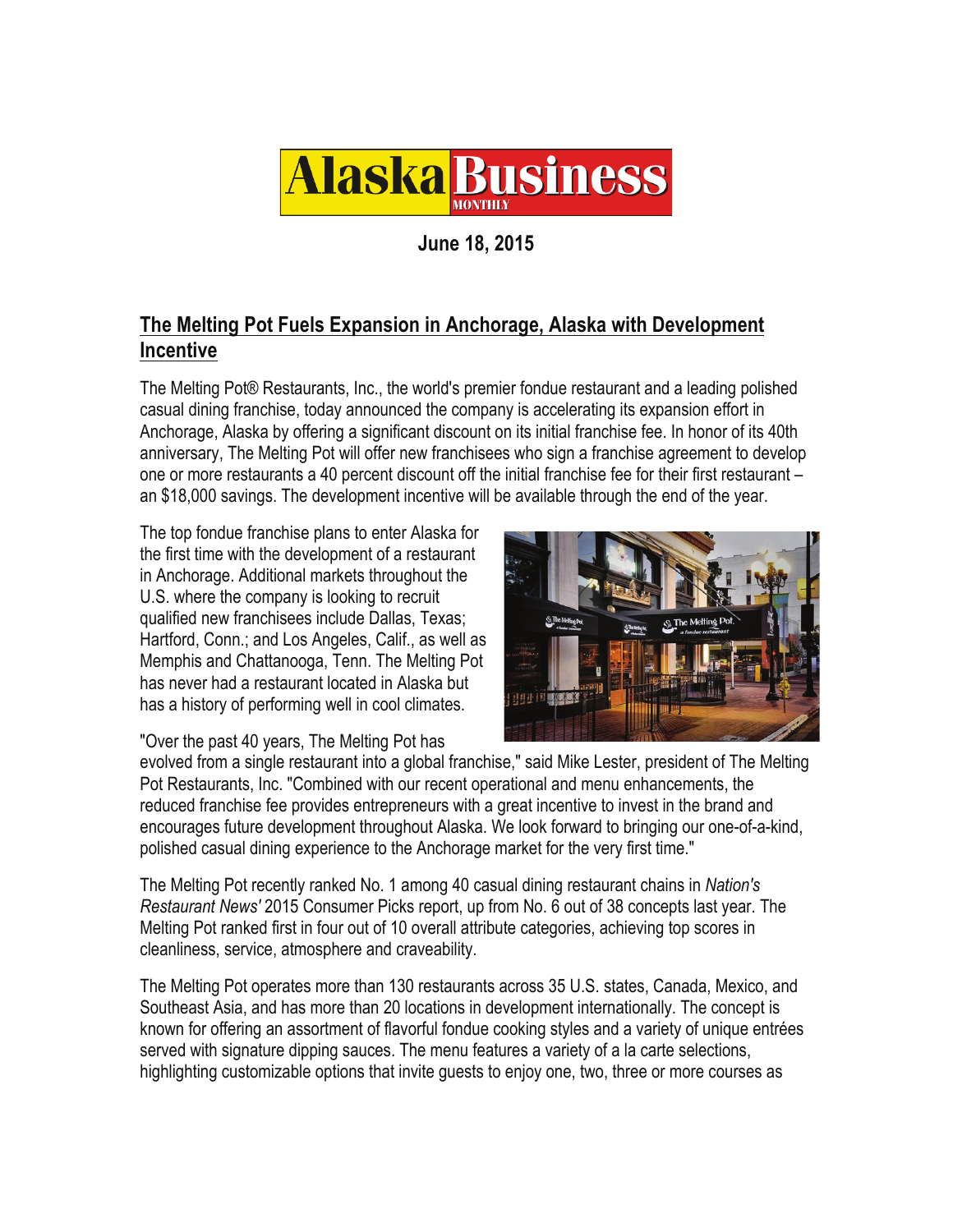

**June 18, 2015** 

## **The Melting Pot Fuels Expansion in Anchorage, Alaska with Development Incentive**

The Melting Pot® Restaurants, Inc., the world's premier fondue restaurant and a leading polished casual dining franchise, today announced the company is accelerating its expansion effort in Anchorage, Alaska by offering a significant discount on its initial franchise fee. In honor of its 40th anniversary, The Melting Pot will offer new franchisees who sign a franchise agreement to develop one or more restaurants a 40 percent discount off the initial franchise fee for their first restaurant – an \$18,000 savings. The development incentive will be available through the end of the year.

The top fondue franchise plans to enter Alaska for the first time with the development of a restaurant in Anchorage. Additional markets throughout the U.S. where the company is looking to recruit qualified new franchisees include Dallas, Texas; Hartford, Conn.; and Los Angeles, Calif., as well as Memphis and Chattanooga, Tenn. The Melting Pot has never had a restaurant located in Alaska but has a history of performing well in cool climates.



"Over the past 40 years, The Melting Pot has

evolved from a single restaurant into a global franchise," said Mike Lester, president of The Melting Pot Restaurants, Inc. "Combined with our recent operational and menu enhancements, the reduced franchise fee provides entrepreneurs with a great incentive to invest in the brand and encourages future development throughout Alaska. We look forward to bringing our one-of-a-kind, polished casual dining experience to the Anchorage market for the very first time."

The Melting Pot recently ranked No. 1 among 40 casual dining restaurant chains in *Nation's Restaurant News'* 2015 Consumer Picks report, up from No. 6 out of 38 concepts last year. The Melting Pot ranked first in four out of 10 overall attribute categories, achieving top scores in cleanliness, service, atmosphere and craveability.

The Melting Pot operates more than 130 restaurants across 35 U.S. states, Canada, Mexico, and Southeast Asia, and has more than 20 locations in development internationally. The concept is known for offering an assortment of flavorful fondue cooking styles and a variety of unique entrées served with signature dipping sauces. The menu features a variety of a la carte selections, highlighting customizable options that invite guests to enjoy one, two, three or more courses as